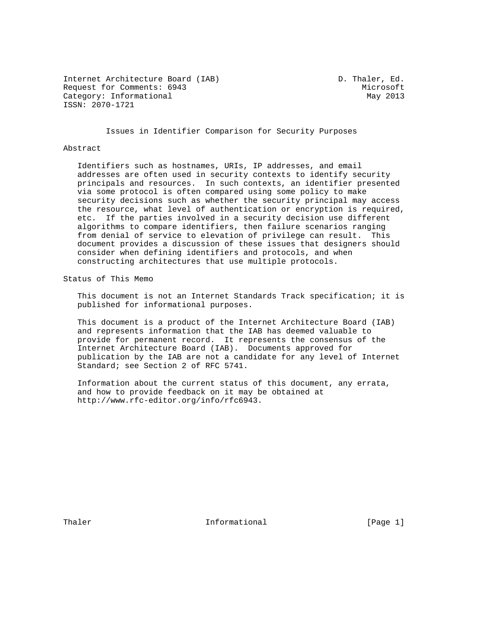Internet Architecture Board (IAB) D. Thaler, Ed. Request for Comments: 6943 Microsoft Category: Informational May 2013 ISSN: 2070-1721

Issues in Identifier Comparison for Security Purposes

#### Abstract

 Identifiers such as hostnames, URIs, IP addresses, and email addresses are often used in security contexts to identify security principals and resources. In such contexts, an identifier presented via some protocol is often compared using some policy to make security decisions such as whether the security principal may access the resource, what level of authentication or encryption is required, etc. If the parties involved in a security decision use different algorithms to compare identifiers, then failure scenarios ranging from denial of service to elevation of privilege can result. This document provides a discussion of these issues that designers should consider when defining identifiers and protocols, and when constructing architectures that use multiple protocols.

Status of This Memo

 This document is not an Internet Standards Track specification; it is published for informational purposes.

 This document is a product of the Internet Architecture Board (IAB) and represents information that the IAB has deemed valuable to provide for permanent record. It represents the consensus of the Internet Architecture Board (IAB). Documents approved for publication by the IAB are not a candidate for any level of Internet Standard; see Section 2 of RFC 5741.

 Information about the current status of this document, any errata, and how to provide feedback on it may be obtained at http://www.rfc-editor.org/info/rfc6943.

Thaler **Informational Informational** [Page 1]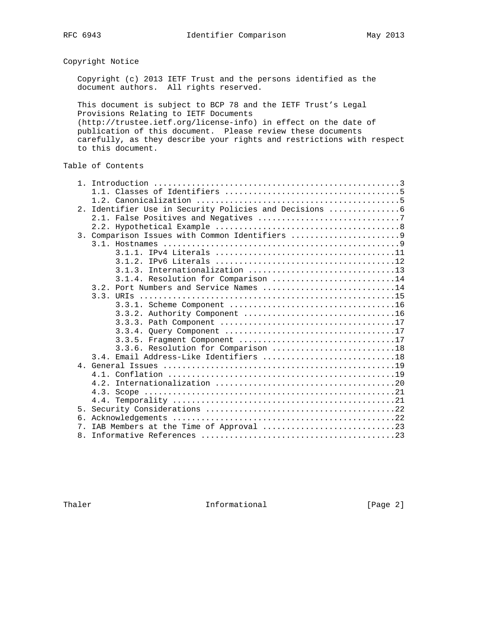Copyright Notice

 Copyright (c) 2013 IETF Trust and the persons identified as the document authors. All rights reserved.

 This document is subject to BCP 78 and the IETF Trust's Legal Provisions Relating to IETF Documents (http://trustee.ietf.org/license-info) in effect on the date of publication of this document. Please review these documents carefully, as they describe your rights and restrictions with respect to this document.

# Table of Contents

| 2. |                                              |
|----|----------------------------------------------|
|    |                                              |
|    |                                              |
|    | 3. Comparison Issues with Common Identifiers |
|    |                                              |
|    |                                              |
|    |                                              |
|    | 3.1.3. Internationalization 13               |
|    | 3.1.4. Resolution for Comparison 14          |
|    | 3.2. Port Numbers and Service Names 14       |
|    |                                              |
|    |                                              |
|    |                                              |
|    |                                              |
|    |                                              |
|    | 3.3.5. Fragment Component 17                 |
|    | 3.3.6. Resolution for Comparison 18          |
|    | 3.4. Email Address-Like Identifiers 18       |
|    |                                              |
|    |                                              |
|    |                                              |
|    |                                              |
|    |                                              |
| 5. |                                              |
| б. |                                              |
| 7  | IAB Members at the Time of Approval 23       |
| 8. |                                              |

Thaler **Informational Informational** [Page 2]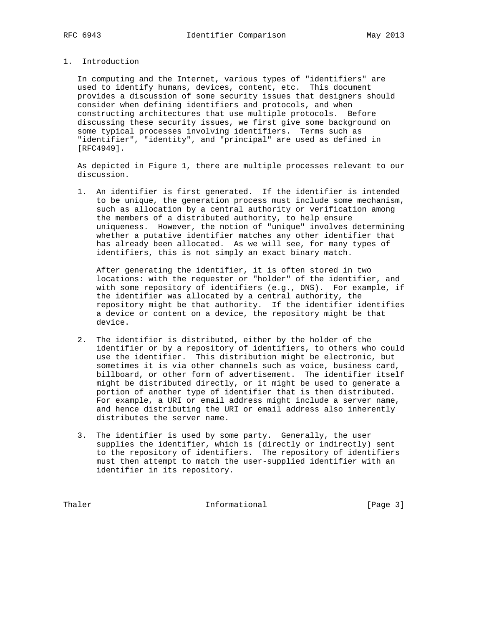# 1. Introduction

 In computing and the Internet, various types of "identifiers" are used to identify humans, devices, content, etc. This document provides a discussion of some security issues that designers should consider when defining identifiers and protocols, and when constructing architectures that use multiple protocols. Before discussing these security issues, we first give some background on some typical processes involving identifiers. Terms such as "identifier", "identity", and "principal" are used as defined in [RFC4949].

 As depicted in Figure 1, there are multiple processes relevant to our discussion.

 1. An identifier is first generated. If the identifier is intended to be unique, the generation process must include some mechanism, such as allocation by a central authority or verification among the members of a distributed authority, to help ensure uniqueness. However, the notion of "unique" involves determining whether a putative identifier matches any other identifier that has already been allocated. As we will see, for many types of identifiers, this is not simply an exact binary match.

 After generating the identifier, it is often stored in two locations: with the requester or "holder" of the identifier, and with some repository of identifiers (e.g., DNS). For example, if the identifier was allocated by a central authority, the repository might be that authority. If the identifier identifies a device or content on a device, the repository might be that device.

- 2. The identifier is distributed, either by the holder of the identifier or by a repository of identifiers, to others who could use the identifier. This distribution might be electronic, but sometimes it is via other channels such as voice, business card, billboard, or other form of advertisement. The identifier itself might be distributed directly, or it might be used to generate a portion of another type of identifier that is then distributed. For example, a URI or email address might include a server name, and hence distributing the URI or email address also inherently distributes the server name.
- 3. The identifier is used by some party. Generally, the user supplies the identifier, which is (directly or indirectly) sent to the repository of identifiers. The repository of identifiers must then attempt to match the user-supplied identifier with an identifier in its repository.

Thaler **Informational Informational** [Page 3]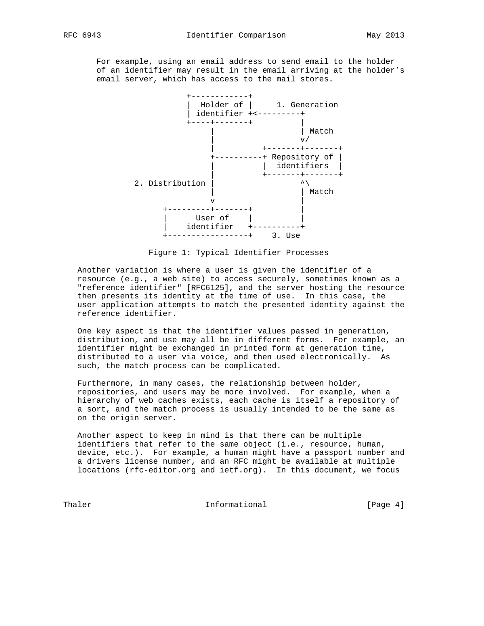For example, using an email address to send email to the holder of an identifier may result in the email arriving at the holder's email server, which has access to the mail stores.



Figure 1: Typical Identifier Processes

 Another variation is where a user is given the identifier of a resource (e.g., a web site) to access securely, sometimes known as a "reference identifier" [RFC6125], and the server hosting the resource then presents its identity at the time of use. In this case, the user application attempts to match the presented identity against the reference identifier.

 One key aspect is that the identifier values passed in generation, distribution, and use may all be in different forms. For example, an identifier might be exchanged in printed form at generation time, distributed to a user via voice, and then used electronically. As such, the match process can be complicated.

 Furthermore, in many cases, the relationship between holder, repositories, and users may be more involved. For example, when a hierarchy of web caches exists, each cache is itself a repository of a sort, and the match process is usually intended to be the same as on the origin server.

 Another aspect to keep in mind is that there can be multiple identifiers that refer to the same object (i.e., resource, human, device, etc.). For example, a human might have a passport number and a drivers license number, and an RFC might be available at multiple locations (rfc-editor.org and ietf.org). In this document, we focus

Thaler **Informational Informational** [Page 4]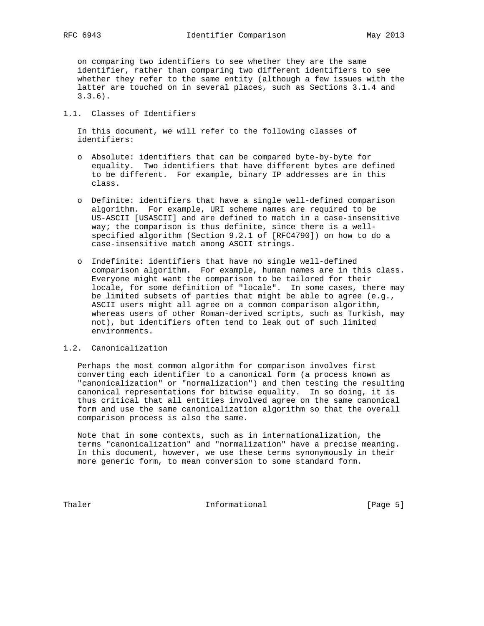on comparing two identifiers to see whether they are the same identifier, rather than comparing two different identifiers to see whether they refer to the same entity (although a few issues with the latter are touched on in several places, such as Sections 3.1.4 and 3.3.6).

# 1.1. Classes of Identifiers

 In this document, we will refer to the following classes of identifiers:

- o Absolute: identifiers that can be compared byte-by-byte for equality. Two identifiers that have different bytes are defined to be different. For example, binary IP addresses are in this class.
- o Definite: identifiers that have a single well-defined comparison algorithm. For example, URI scheme names are required to be US-ASCII [USASCII] and are defined to match in a case-insensitive way; the comparison is thus definite, since there is a well specified algorithm (Section 9.2.1 of [RFC4790]) on how to do a case-insensitive match among ASCII strings.
- o Indefinite: identifiers that have no single well-defined comparison algorithm. For example, human names are in this class. Everyone might want the comparison to be tailored for their locale, for some definition of "locale". In some cases, there may be limited subsets of parties that might be able to agree (e.g., ASCII users might all agree on a common comparison algorithm, whereas users of other Roman-derived scripts, such as Turkish, may not), but identifiers often tend to leak out of such limited environments.

# 1.2. Canonicalization

 Perhaps the most common algorithm for comparison involves first converting each identifier to a canonical form (a process known as "canonicalization" or "normalization") and then testing the resulting canonical representations for bitwise equality. In so doing, it is thus critical that all entities involved agree on the same canonical form and use the same canonicalization algorithm so that the overall comparison process is also the same.

 Note that in some contexts, such as in internationalization, the terms "canonicalization" and "normalization" have a precise meaning. In this document, however, we use these terms synonymously in their more generic form, to mean conversion to some standard form.

Thaler **Informational Informational** [Page 5]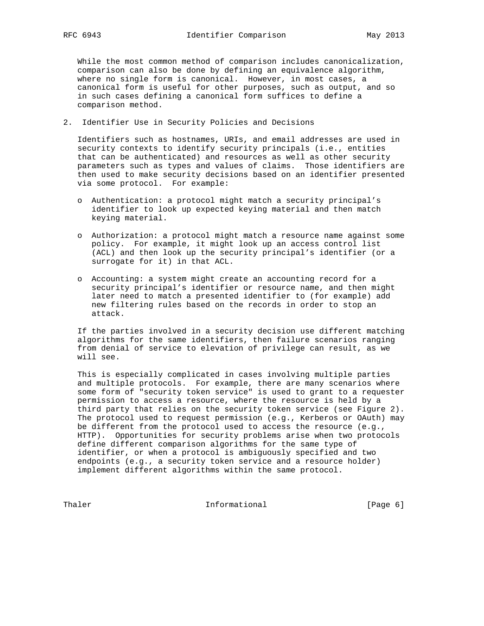While the most common method of comparison includes canonicalization, comparison can also be done by defining an equivalence algorithm, where no single form is canonical. However, in most cases, a canonical form is useful for other purposes, such as output, and so in such cases defining a canonical form suffices to define a comparison method.

2. Identifier Use in Security Policies and Decisions

 Identifiers such as hostnames, URIs, and email addresses are used in security contexts to identify security principals (i.e., entities that can be authenticated) and resources as well as other security parameters such as types and values of claims. Those identifiers are then used to make security decisions based on an identifier presented via some protocol. For example:

- o Authentication: a protocol might match a security principal's identifier to look up expected keying material and then match keying material.
- o Authorization: a protocol might match a resource name against some policy. For example, it might look up an access control list (ACL) and then look up the security principal's identifier (or a surrogate for it) in that ACL.
- o Accounting: a system might create an accounting record for a security principal's identifier or resource name, and then might later need to match a presented identifier to (for example) add new filtering rules based on the records in order to stop an attack.

 If the parties involved in a security decision use different matching algorithms for the same identifiers, then failure scenarios ranging from denial of service to elevation of privilege can result, as we will see.

 This is especially complicated in cases involving multiple parties and multiple protocols. For example, there are many scenarios where some form of "security token service" is used to grant to a requester permission to access a resource, where the resource is held by a third party that relies on the security token service (see Figure 2). The protocol used to request permission (e.g., Kerberos or OAuth) may be different from the protocol used to access the resource (e.g., HTTP). Opportunities for security problems arise when two protocols define different comparison algorithms for the same type of identifier, or when a protocol is ambiguously specified and two endpoints (e.g., a security token service and a resource holder) implement different algorithms within the same protocol.

Thaler **Informational Informational** [Page 6]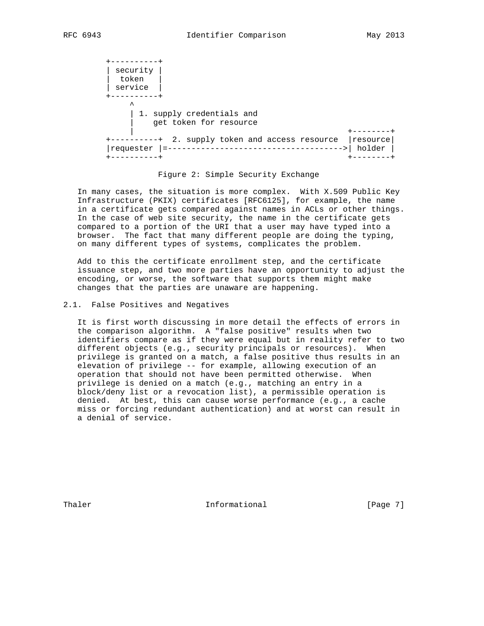+----------+ | security | | token | | service | +----------+  $\sim$   $\sim$   $\sim$   $\sim$  | 1. supply credentials and get token for resource | +--------+ +----------+ 2. supply token and access resource |resource| |requester |=------------------------------------->| holder | +----------+ +--------+

#### Figure 2: Simple Security Exchange

 In many cases, the situation is more complex. With X.509 Public Key Infrastructure (PKIX) certificates [RFC6125], for example, the name in a certificate gets compared against names in ACLs or other things. In the case of web site security, the name in the certificate gets compared to a portion of the URI that a user may have typed into a browser. The fact that many different people are doing the typing, on many different types of systems, complicates the problem.

 Add to this the certificate enrollment step, and the certificate issuance step, and two more parties have an opportunity to adjust the encoding, or worse, the software that supports them might make changes that the parties are unaware are happening.

## 2.1. False Positives and Negatives

 It is first worth discussing in more detail the effects of errors in the comparison algorithm. A "false positive" results when two identifiers compare as if they were equal but in reality refer to two different objects (e.g., security principals or resources). When privilege is granted on a match, a false positive thus results in an elevation of privilege -- for example, allowing execution of an operation that should not have been permitted otherwise. When privilege is denied on a match (e.g., matching an entry in a block/deny list or a revocation list), a permissible operation is denied. At best, this can cause worse performance (e.g., a cache miss or forcing redundant authentication) and at worst can result in a denial of service.

Thaler **Informational Informational** [Page 7]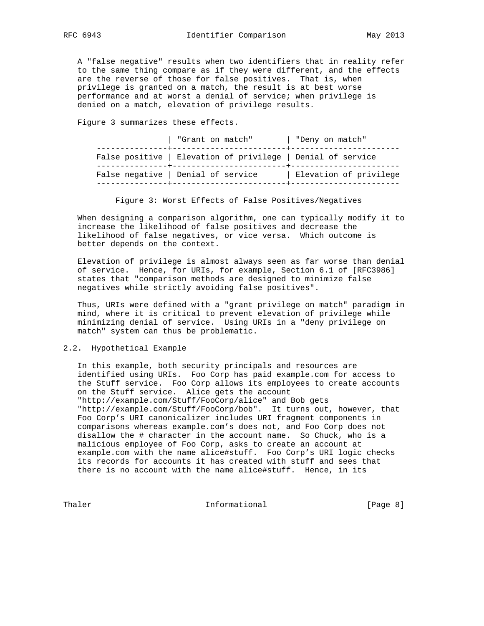A "false negative" results when two identifiers that in reality refer to the same thing compare as if they were different, and the effects are the reverse of those for false positives. That is, when privilege is granted on a match, the result is at best worse performance and at worst a denial of service; when privilege is denied on a match, elevation of privilege results.

Figure 3 summarizes these effects.

| "Grant on match"                                            | "Deny on match"        |
|-------------------------------------------------------------|------------------------|
| False positive   Elevation of privilege   Denial of service |                        |
| False negative   Denial of service                          | Elevation of privilege |

Figure 3: Worst Effects of False Positives/Negatives

 When designing a comparison algorithm, one can typically modify it to increase the likelihood of false positives and decrease the likelihood of false negatives, or vice versa. Which outcome is better depends on the context.

 Elevation of privilege is almost always seen as far worse than denial of service. Hence, for URIs, for example, Section 6.1 of [RFC3986] states that "comparison methods are designed to minimize false negatives while strictly avoiding false positives".

 Thus, URIs were defined with a "grant privilege on match" paradigm in mind, where it is critical to prevent elevation of privilege while minimizing denial of service. Using URIs in a "deny privilege on match" system can thus be problematic.

## 2.2. Hypothetical Example

 In this example, both security principals and resources are identified using URIs. Foo Corp has paid example.com for access to the Stuff service. Foo Corp allows its employees to create accounts on the Stuff service. Alice gets the account "http://example.com/Stuff/FooCorp/alice" and Bob gets "http://example.com/Stuff/FooCorp/bob". It turns out, however, that Foo Corp's URI canonicalizer includes URI fragment components in comparisons whereas example.com's does not, and Foo Corp does not disallow the # character in the account name. So Chuck, who is a malicious employee of Foo Corp, asks to create an account at example.com with the name alice#stuff. Foo Corp's URI logic checks its records for accounts it has created with stuff and sees that there is no account with the name alice#stuff. Hence, in its

Thaler **Informational Informational** [Page 8]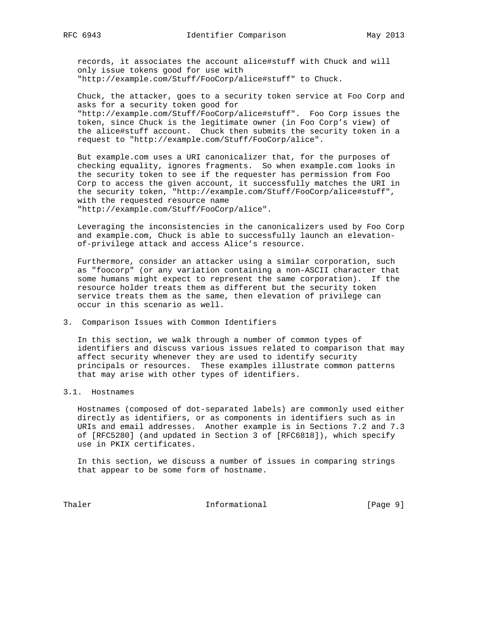records, it associates the account alice#stuff with Chuck and will only issue tokens good for use with "http://example.com/Stuff/FooCorp/alice#stuff" to Chuck.

 Chuck, the attacker, goes to a security token service at Foo Corp and asks for a security token good for "http://example.com/Stuff/FooCorp/alice#stuff". Foo Corp issues the token, since Chuck is the legitimate owner (in Foo Corp's view) of the alice#stuff account. Chuck then submits the security token in a request to "http://example.com/Stuff/FooCorp/alice".

 But example.com uses a URI canonicalizer that, for the purposes of checking equality, ignores fragments. So when example.com looks in the security token to see if the requester has permission from Foo Corp to access the given account, it successfully matches the URI in the security token, "http://example.com/Stuff/FooCorp/alice#stuff", with the requested resource name "http://example.com/Stuff/FooCorp/alice".

 Leveraging the inconsistencies in the canonicalizers used by Foo Corp and example.com, Chuck is able to successfully launch an elevation of-privilege attack and access Alice's resource.

 Furthermore, consider an attacker using a similar corporation, such as "foocorp" (or any variation containing a non-ASCII character that some humans might expect to represent the same corporation). If the resource holder treats them as different but the security token service treats them as the same, then elevation of privilege can occur in this scenario as well.

# 3. Comparison Issues with Common Identifiers

 In this section, we walk through a number of common types of identifiers and discuss various issues related to comparison that may affect security whenever they are used to identify security principals or resources. These examples illustrate common patterns that may arise with other types of identifiers.

# 3.1. Hostnames

 Hostnames (composed of dot-separated labels) are commonly used either directly as identifiers, or as components in identifiers such as in URIs and email addresses. Another example is in Sections 7.2 and 7.3 of [RFC5280] (and updated in Section 3 of [RFC6818]), which specify use in PKIX certificates.

 In this section, we discuss a number of issues in comparing strings that appear to be some form of hostname.

Thaler **Informational Informational** [Page 9]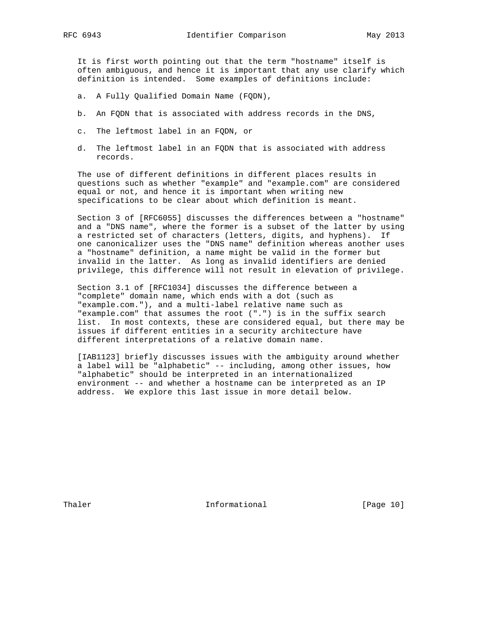It is first worth pointing out that the term "hostname" itself is often ambiguous, and hence it is important that any use clarify which definition is intended. Some examples of definitions include:

- a. A Fully Qualified Domain Name (FQDN),
- b. An FQDN that is associated with address records in the DNS,
- c. The leftmost label in an FQDN, or
- d. The leftmost label in an FQDN that is associated with address records.

 The use of different definitions in different places results in questions such as whether "example" and "example.com" are considered equal or not, and hence it is important when writing new specifications to be clear about which definition is meant.

 Section 3 of [RFC6055] discusses the differences between a "hostname" and a "DNS name", where the former is a subset of the latter by using a restricted set of characters (letters, digits, and hyphens). If one canonicalizer uses the "DNS name" definition whereas another uses a "hostname" definition, a name might be valid in the former but invalid in the latter. As long as invalid identifiers are denied privilege, this difference will not result in elevation of privilege.

 Section 3.1 of [RFC1034] discusses the difference between a "complete" domain name, which ends with a dot (such as "example.com."), and a multi-label relative name such as "example.com" that assumes the root (".") is in the suffix search list. In most contexts, these are considered equal, but there may be issues if different entities in a security architecture have different interpretations of a relative domain name.

 [IAB1123] briefly discusses issues with the ambiguity around whether a label will be "alphabetic" -- including, among other issues, how "alphabetic" should be interpreted in an internationalized environment -- and whether a hostname can be interpreted as an IP address. We explore this last issue in more detail below.

Thaler **Informational Informational** [Page 10]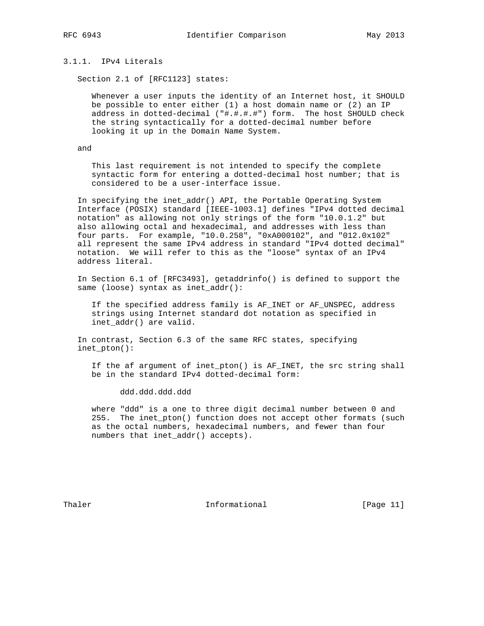# 3.1.1. IPv4 Literals

Section 2.1 of [RFC1123] states:

 Whenever a user inputs the identity of an Internet host, it SHOULD be possible to enter either (1) a host domain name or (2) an IP address in dotted-decimal ("#.#.#.#") form. The host SHOULD check the string syntactically for a dotted-decimal number before looking it up in the Domain Name System.

and

 This last requirement is not intended to specify the complete syntactic form for entering a dotted-decimal host number; that is considered to be a user-interface issue.

 In specifying the inet\_addr() API, the Portable Operating System Interface (POSIX) standard [IEEE-1003.1] defines "IPv4 dotted decimal notation" as allowing not only strings of the form "10.0.1.2" but also allowing octal and hexadecimal, and addresses with less than four parts. For example, "10.0.258", "0xA000102", and "012.0x102" all represent the same IPv4 address in standard "IPv4 dotted decimal" notation. We will refer to this as the "loose" syntax of an IPv4 address literal.

 In Section 6.1 of [RFC3493], getaddrinfo() is defined to support the same (loose) syntax as inet\_addr():

 If the specified address family is AF\_INET or AF\_UNSPEC, address strings using Internet standard dot notation as specified in inet\_addr() are valid.

 In contrast, Section 6.3 of the same RFC states, specifying inet\_pton():

 If the af argument of inet\_pton() is AF\_INET, the src string shall be in the standard IPv4 dotted-decimal form:

ddd.ddd.ddd.ddd

 where "ddd" is a one to three digit decimal number between 0 and 255. The inet\_pton() function does not accept other formats (such as the octal numbers, hexadecimal numbers, and fewer than four numbers that inet\_addr() accepts).

Thaler **Informational Informational** [Page 11]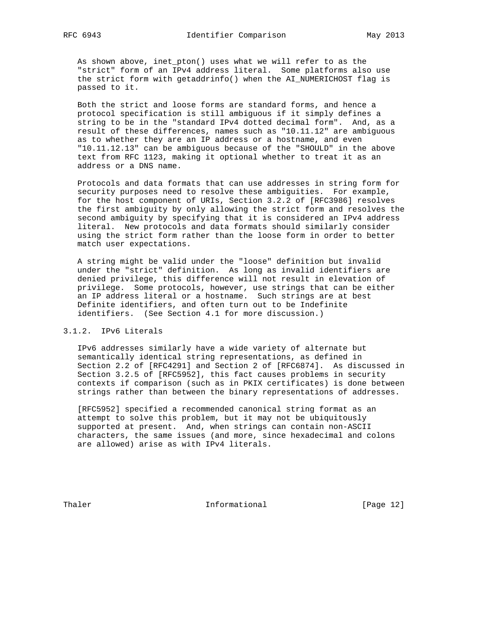As shown above, inet\_pton() uses what we will refer to as the "strict" form of an IPv4 address literal. Some platforms also use the strict form with getaddrinfo() when the AI\_NUMERICHOST flag is passed to it.

 Both the strict and loose forms are standard forms, and hence a protocol specification is still ambiguous if it simply defines a string to be in the "standard IPv4 dotted decimal form". And, as a result of these differences, names such as "10.11.12" are ambiguous as to whether they are an IP address or a hostname, and even "10.11.12.13" can be ambiguous because of the "SHOULD" in the above text from RFC 1123, making it optional whether to treat it as an address or a DNS name.

 Protocols and data formats that can use addresses in string form for security purposes need to resolve these ambiguities. For example, for the host component of URIs, Section 3.2.2 of [RFC3986] resolves the first ambiguity by only allowing the strict form and resolves the second ambiguity by specifying that it is considered an IPv4 address literal. New protocols and data formats should similarly consider using the strict form rather than the loose form in order to better match user expectations.

 A string might be valid under the "loose" definition but invalid under the "strict" definition. As long as invalid identifiers are denied privilege, this difference will not result in elevation of privilege. Some protocols, however, use strings that can be either an IP address literal or a hostname. Such strings are at best Definite identifiers, and often turn out to be Indefinite identifiers. (See Section 4.1 for more discussion.)

## 3.1.2. IPv6 Literals

 IPv6 addresses similarly have a wide variety of alternate but semantically identical string representations, as defined in Section 2.2 of [RFC4291] and Section 2 of [RFC6874]. As discussed in Section 3.2.5 of [RFC5952], this fact causes problems in security contexts if comparison (such as in PKIX certificates) is done between strings rather than between the binary representations of addresses.

 [RFC5952] specified a recommended canonical string format as an attempt to solve this problem, but it may not be ubiquitously supported at present. And, when strings can contain non-ASCII characters, the same issues (and more, since hexadecimal and colons are allowed) arise as with IPv4 literals.

Thaler **Informational** [Page 12]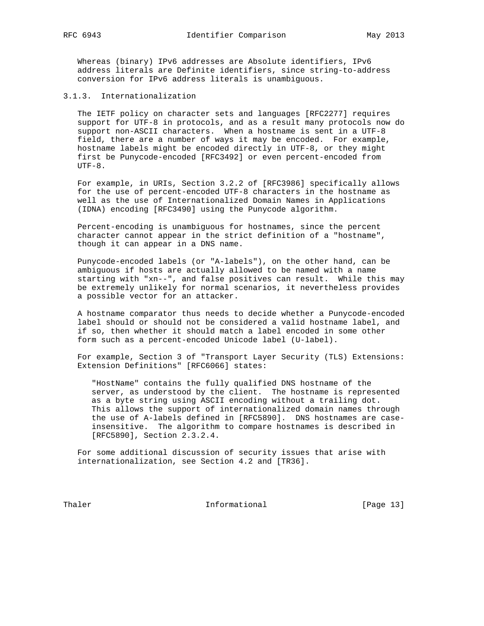Whereas (binary) IPv6 addresses are Absolute identifiers, IPv6 address literals are Definite identifiers, since string-to-address conversion for IPv6 address literals is unambiguous.

## 3.1.3. Internationalization

 The IETF policy on character sets and languages [RFC2277] requires support for UTF-8 in protocols, and as a result many protocols now do support non-ASCII characters. When a hostname is sent in a UTF-8 field, there are a number of ways it may be encoded. For example, hostname labels might be encoded directly in UTF-8, or they might first be Punycode-encoded [RFC3492] or even percent-encoded from  $UTF-8.$ 

 For example, in URIs, Section 3.2.2 of [RFC3986] specifically allows for the use of percent-encoded UTF-8 characters in the hostname as well as the use of Internationalized Domain Names in Applications (IDNA) encoding [RFC3490] using the Punycode algorithm.

 Percent-encoding is unambiguous for hostnames, since the percent character cannot appear in the strict definition of a "hostname", though it can appear in a DNS name.

 Punycode-encoded labels (or "A-labels"), on the other hand, can be ambiguous if hosts are actually allowed to be named with a name starting with "xn--", and false positives can result. While this may be extremely unlikely for normal scenarios, it nevertheless provides a possible vector for an attacker.

 A hostname comparator thus needs to decide whether a Punycode-encoded label should or should not be considered a valid hostname label, and if so, then whether it should match a label encoded in some other form such as a percent-encoded Unicode label (U-label).

 For example, Section 3 of "Transport Layer Security (TLS) Extensions: Extension Definitions" [RFC6066] states:

 "HostName" contains the fully qualified DNS hostname of the server, as understood by the client. The hostname is represented as a byte string using ASCII encoding without a trailing dot. This allows the support of internationalized domain names through the use of A-labels defined in [RFC5890]. DNS hostnames are case insensitive. The algorithm to compare hostnames is described in [RFC5890], Section 2.3.2.4.

 For some additional discussion of security issues that arise with internationalization, see Section 4.2 and [TR36].

Thaler **Informational** [Page 13]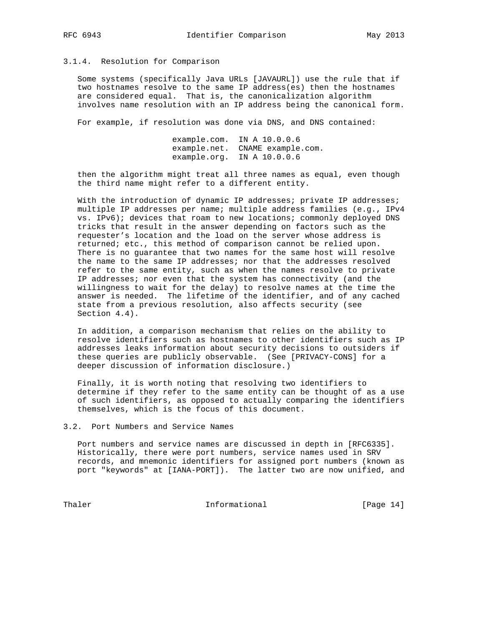# 3.1.4. Resolution for Comparison

 Some systems (specifically Java URLs [JAVAURL]) use the rule that if two hostnames resolve to the same IP address(es) then the hostnames are considered equal. That is, the canonicalization algorithm involves name resolution with an IP address being the canonical form.

For example, if resolution was done via DNS, and DNS contained:

 example.com. IN A 10.0.0.6 example.net. CNAME example.com. example.org. IN A 10.0.0.6

 then the algorithm might treat all three names as equal, even though the third name might refer to a different entity.

 With the introduction of dynamic IP addresses; private IP addresses; multiple IP addresses per name; multiple address families (e.g., IPv4 vs. IPv6); devices that roam to new locations; commonly deployed DNS tricks that result in the answer depending on factors such as the requester's location and the load on the server whose address is returned; etc., this method of comparison cannot be relied upon. There is no guarantee that two names for the same host will resolve the name to the same IP addresses; nor that the addresses resolved refer to the same entity, such as when the names resolve to private IP addresses; nor even that the system has connectivity (and the willingness to wait for the delay) to resolve names at the time the answer is needed. The lifetime of the identifier, and of any cached state from a previous resolution, also affects security (see Section  $4.4$ ).

 In addition, a comparison mechanism that relies on the ability to resolve identifiers such as hostnames to other identifiers such as IP addresses leaks information about security decisions to outsiders if these queries are publicly observable. (See [PRIVACY-CONS] for a deeper discussion of information disclosure.)

 Finally, it is worth noting that resolving two identifiers to determine if they refer to the same entity can be thought of as a use of such identifiers, as opposed to actually comparing the identifiers themselves, which is the focus of this document.

#### 3.2. Port Numbers and Service Names

 Port numbers and service names are discussed in depth in [RFC6335]. Historically, there were port numbers, service names used in SRV records, and mnemonic identifiers for assigned port numbers (known as port "keywords" at [IANA-PORT]). The latter two are now unified, and

Thaler **Informational Informational** [Page 14]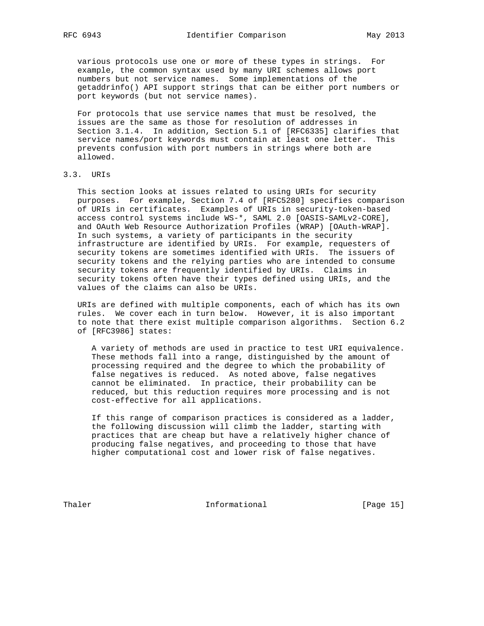various protocols use one or more of these types in strings. For example, the common syntax used by many URI schemes allows port numbers but not service names. Some implementations of the getaddrinfo() API support strings that can be either port numbers or port keywords (but not service names).

 For protocols that use service names that must be resolved, the issues are the same as those for resolution of addresses in Section 3.1.4. In addition, Section 5.1 of [RFC6335] clarifies that service names/port keywords must contain at least one letter. This prevents confusion with port numbers in strings where both are allowed.

# 3.3. URIs

 This section looks at issues related to using URIs for security purposes. For example, Section 7.4 of [RFC5280] specifies comparison of URIs in certificates. Examples of URIs in security-token-based access control systems include WS-\*, SAML 2.0 [OASIS-SAMLv2-CORE], and OAuth Web Resource Authorization Profiles (WRAP) [OAuth-WRAP]. In such systems, a variety of participants in the security infrastructure are identified by URIs. For example, requesters of security tokens are sometimes identified with URIs. The issuers of security tokens and the relying parties who are intended to consume security tokens are frequently identified by URIs. Claims in security tokens often have their types defined using URIs, and the values of the claims can also be URIs.

 URIs are defined with multiple components, each of which has its own rules. We cover each in turn below. However, it is also important to note that there exist multiple comparison algorithms. Section 6.2 of [RFC3986] states:

 A variety of methods are used in practice to test URI equivalence. These methods fall into a range, distinguished by the amount of processing required and the degree to which the probability of false negatives is reduced. As noted above, false negatives cannot be eliminated. In practice, their probability can be reduced, but this reduction requires more processing and is not cost-effective for all applications.

 If this range of comparison practices is considered as a ladder, the following discussion will climb the ladder, starting with practices that are cheap but have a relatively higher chance of producing false negatives, and proceeding to those that have higher computational cost and lower risk of false negatives.

Thaler **Informational Informational** [Page 15]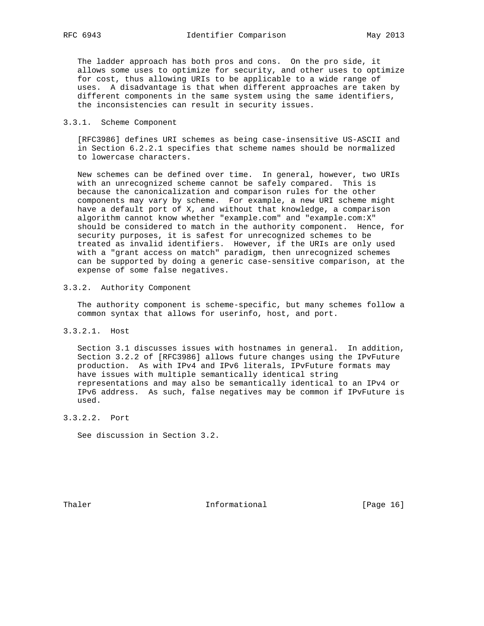The ladder approach has both pros and cons. On the pro side, it allows some uses to optimize for security, and other uses to optimize for cost, thus allowing URIs to be applicable to a wide range of uses. A disadvantage is that when different approaches are taken by different components in the same system using the same identifiers, the inconsistencies can result in security issues.

# 3.3.1. Scheme Component

 [RFC3986] defines URI schemes as being case-insensitive US-ASCII and in Section 6.2.2.1 specifies that scheme names should be normalized to lowercase characters.

 New schemes can be defined over time. In general, however, two URIs with an unrecognized scheme cannot be safely compared. This is because the canonicalization and comparison rules for the other components may vary by scheme. For example, a new URI scheme might have a default port of X, and without that knowledge, a comparison algorithm cannot know whether "example.com" and "example.com:X" should be considered to match in the authority component. Hence, for security purposes, it is safest for unrecognized schemes to be treated as invalid identifiers. However, if the URIs are only used with a "grant access on match" paradigm, then unrecognized schemes can be supported by doing a generic case-sensitive comparison, at the expense of some false negatives.

# 3.3.2. Authority Component

 The authority component is scheme-specific, but many schemes follow a common syntax that allows for userinfo, host, and port.

3.3.2.1. Host

 Section 3.1 discusses issues with hostnames in general. In addition, Section 3.2.2 of [RFC3986] allows future changes using the IPvFuture production. As with IPv4 and IPv6 literals, IPvFuture formats may have issues with multiple semantically identical string representations and may also be semantically identical to an IPv4 or IPv6 address. As such, false negatives may be common if IPvFuture is used.

3.3.2.2. Port

See discussion in Section 3.2.

Thaler **Informational Informational** [Page 16]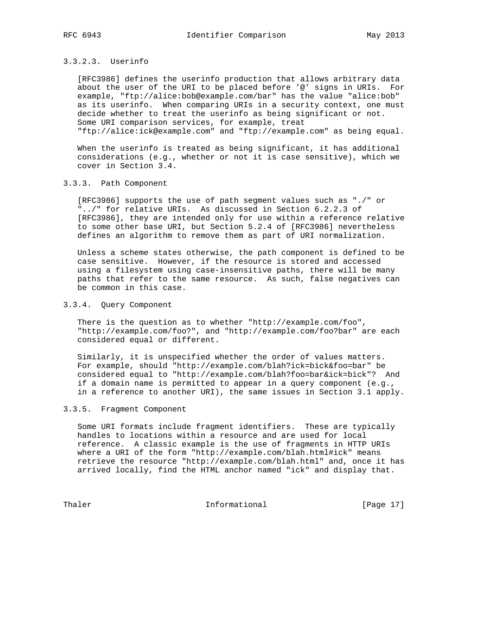# 3.3.2.3. Userinfo

 [RFC3986] defines the userinfo production that allows arbitrary data about the user of the URI to be placed before '@' signs in URIs. For example, "ftp://alice:bob@example.com/bar" has the value "alice:bob" as its userinfo. When comparing URIs in a security context, one must decide whether to treat the userinfo as being significant or not. Some URI comparison services, for example, treat "ftp://alice:ick@example.com" and "ftp://example.com" as being equal.

 When the userinfo is treated as being significant, it has additional considerations (e.g., whether or not it is case sensitive), which we cover in Section 3.4.

## 3.3.3. Path Component

 [RFC3986] supports the use of path segment values such as "./" or "../" for relative URIs. As discussed in Section 6.2.2.3 of [RFC3986], they are intended only for use within a reference relative to some other base URI, but Section 5.2.4 of [RFC3986] nevertheless defines an algorithm to remove them as part of URI normalization.

 Unless a scheme states otherwise, the path component is defined to be case sensitive. However, if the resource is stored and accessed using a filesystem using case-insensitive paths, there will be many paths that refer to the same resource. As such, false negatives can be common in this case.

## 3.3.4. Query Component

 There is the question as to whether "http://example.com/foo", "http://example.com/foo?", and "http://example.com/foo?bar" are each considered equal or different.

 Similarly, it is unspecified whether the order of values matters. For example, should "http://example.com/blah?ick=bick&foo=bar" be considered equal to "http://example.com/blah?foo=bar&ick=bick"? And if a domain name is permitted to appear in a query component (e.g., in a reference to another URI), the same issues in Section 3.1 apply.

## 3.3.5. Fragment Component

 Some URI formats include fragment identifiers. These are typically handles to locations within a resource and are used for local reference. A classic example is the use of fragments in HTTP URIs where a URI of the form "http://example.com/blah.html#ick" means retrieve the resource "http://example.com/blah.html" and, once it has arrived locally, find the HTML anchor named "ick" and display that.

Thaler **Informational Informational** [Page 17]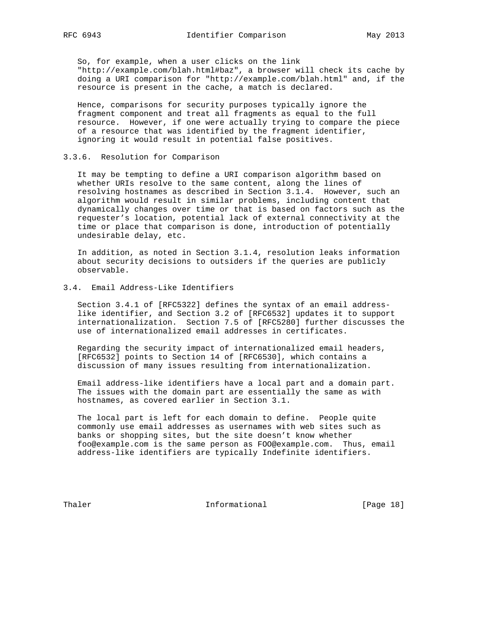So, for example, when a user clicks on the link "http://example.com/blah.html#baz", a browser will check its cache by doing a URI comparison for "http://example.com/blah.html" and, if the resource is present in the cache, a match is declared.

 Hence, comparisons for security purposes typically ignore the fragment component and treat all fragments as equal to the full resource. However, if one were actually trying to compare the piece of a resource that was identified by the fragment identifier, ignoring it would result in potential false positives.

#### 3.3.6. Resolution for Comparison

 It may be tempting to define a URI comparison algorithm based on whether URIs resolve to the same content, along the lines of resolving hostnames as described in Section 3.1.4. However, such an algorithm would result in similar problems, including content that dynamically changes over time or that is based on factors such as the requester's location, potential lack of external connectivity at the time or place that comparison is done, introduction of potentially undesirable delay, etc.

 In addition, as noted in Section 3.1.4, resolution leaks information about security decisions to outsiders if the queries are publicly observable.

# 3.4. Email Address-Like Identifiers

 Section 3.4.1 of [RFC5322] defines the syntax of an email address like identifier, and Section 3.2 of [RFC6532] updates it to support internationalization. Section 7.5 of [RFC5280] further discusses the use of internationalized email addresses in certificates.

 Regarding the security impact of internationalized email headers, [RFC6532] points to Section 14 of [RFC6530], which contains a discussion of many issues resulting from internationalization.

 Email address-like identifiers have a local part and a domain part. The issues with the domain part are essentially the same as with hostnames, as covered earlier in Section 3.1.

 The local part is left for each domain to define. People quite commonly use email addresses as usernames with web sites such as banks or shopping sites, but the site doesn't know whether foo@example.com is the same person as FOO@example.com. Thus, email address-like identifiers are typically Indefinite identifiers.

Thaler **Informational Informational** [Page 18]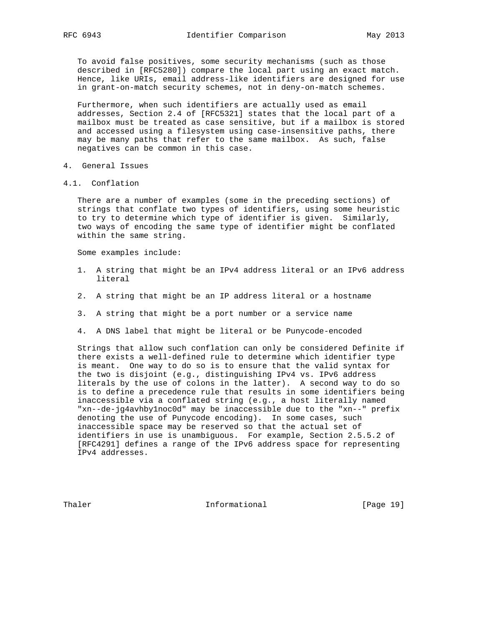To avoid false positives, some security mechanisms (such as those described in [RFC5280]) compare the local part using an exact match. Hence, like URIs, email address-like identifiers are designed for use in grant-on-match security schemes, not in deny-on-match schemes.

 Furthermore, when such identifiers are actually used as email addresses, Section 2.4 of [RFC5321] states that the local part of a mailbox must be treated as case sensitive, but if a mailbox is stored and accessed using a filesystem using case-insensitive paths, there may be many paths that refer to the same mailbox. As such, false negatives can be common in this case.

- 4. General Issues
- 4.1. Conflation

 There are a number of examples (some in the preceding sections) of strings that conflate two types of identifiers, using some heuristic to try to determine which type of identifier is given. Similarly, two ways of encoding the same type of identifier might be conflated within the same string.

Some examples include:

- 1. A string that might be an IPv4 address literal or an IPv6 address literal
- 2. A string that might be an IP address literal or a hostname
- 3. A string that might be a port number or a service name
- 4. A DNS label that might be literal or be Punycode-encoded

 Strings that allow such conflation can only be considered Definite if there exists a well-defined rule to determine which identifier type is meant. One way to do so is to ensure that the valid syntax for the two is disjoint (e.g., distinguishing IPv4 vs. IPv6 address literals by the use of colons in the latter). A second way to do so is to define a precedence rule that results in some identifiers being inaccessible via a conflated string (e.g., a host literally named "xn--de-jg4avhby1noc0d" may be inaccessible due to the "xn--" prefix denoting the use of Punycode encoding). In some cases, such inaccessible space may be reserved so that the actual set of identifiers in use is unambiguous. For example, Section 2.5.5.2 of [RFC4291] defines a range of the IPv6 address space for representing IPv4 addresses.

Thaler **Informational** [Page 19]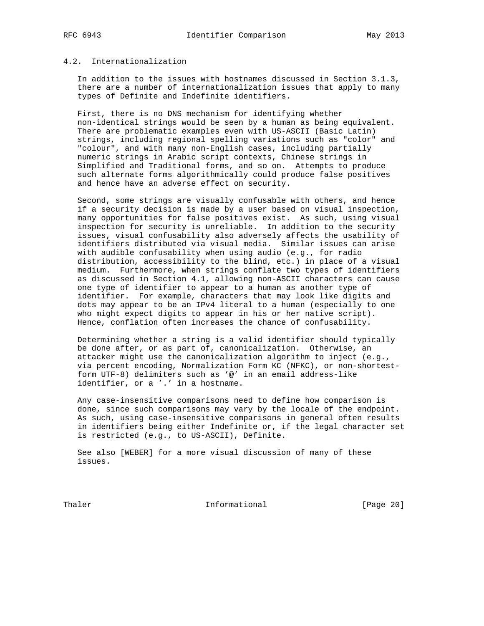# 4.2. Internationalization

 In addition to the issues with hostnames discussed in Section 3.1.3, there are a number of internationalization issues that apply to many types of Definite and Indefinite identifiers.

 First, there is no DNS mechanism for identifying whether non-identical strings would be seen by a human as being equivalent. There are problematic examples even with US-ASCII (Basic Latin) strings, including regional spelling variations such as "color" and "colour", and with many non-English cases, including partially numeric strings in Arabic script contexts, Chinese strings in Simplified and Traditional forms, and so on. Attempts to produce such alternate forms algorithmically could produce false positives and hence have an adverse effect on security.

 Second, some strings are visually confusable with others, and hence if a security decision is made by a user based on visual inspection, many opportunities for false positives exist. As such, using visual inspection for security is unreliable. In addition to the security issues, visual confusability also adversely affects the usability of identifiers distributed via visual media. Similar issues can arise with audible confusability when using audio (e.g., for radio distribution, accessibility to the blind, etc.) in place of a visual medium. Furthermore, when strings conflate two types of identifiers as discussed in Section 4.1, allowing non-ASCII characters can cause one type of identifier to appear to a human as another type of identifier. For example, characters that may look like digits and dots may appear to be an IPv4 literal to a human (especially to one who might expect digits to appear in his or her native script). Hence, conflation often increases the chance of confusability.

 Determining whether a string is a valid identifier should typically be done after, or as part of, canonicalization. Otherwise, an attacker might use the canonicalization algorithm to inject (e.g., via percent encoding, Normalization Form KC (NFKC), or non-shortest form UTF-8) delimiters such as '@' in an email address-like identifier, or a '.' in a hostname.

 Any case-insensitive comparisons need to define how comparison is done, since such comparisons may vary by the locale of the endpoint. As such, using case-insensitive comparisons in general often results in identifiers being either Indefinite or, if the legal character set is restricted (e.g., to US-ASCII), Definite.

 See also [WEBER] for a more visual discussion of many of these issues.

Thaler **Informational Informational** [Page 20]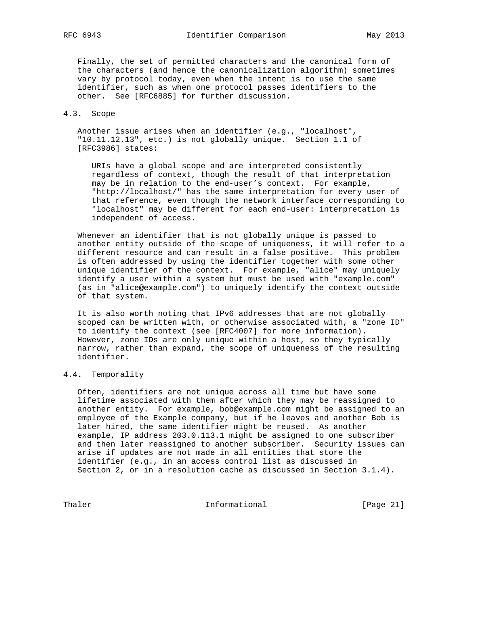Finally, the set of permitted characters and the canonical form of the characters (and hence the canonicalization algorithm) sometimes vary by protocol today, even when the intent is to use the same identifier, such as when one protocol passes identifiers to the other. See [RFC6885] for further discussion.

# 4.3. Scope

 Another issue arises when an identifier (e.g., "localhost", "10.11.12.13", etc.) is not globally unique. Section 1.1 of [RFC3986] states:

 URIs have a global scope and are interpreted consistently regardless of context, though the result of that interpretation may be in relation to the end-user's context. For example, "http://localhost/" has the same interpretation for every user of that reference, even though the network interface corresponding to "localhost" may be different for each end-user: interpretation is independent of access.

 Whenever an identifier that is not globally unique is passed to another entity outside of the scope of uniqueness, it will refer to a different resource and can result in a false positive. This problem is often addressed by using the identifier together with some other unique identifier of the context. For example, "alice" may uniquely identify a user within a system but must be used with "example.com" (as in "alice@example.com") to uniquely identify the context outside of that system.

 It is also worth noting that IPv6 addresses that are not globally scoped can be written with, or otherwise associated with, a "zone ID" to identify the context (see [RFC4007] for more information). However, zone IDs are only unique within a host, so they typically narrow, rather than expand, the scope of uniqueness of the resulting identifier.

# 4.4. Temporality

 Often, identifiers are not unique across all time but have some lifetime associated with them after which they may be reassigned to another entity. For example, bob@example.com might be assigned to an employee of the Example company, but if he leaves and another Bob is later hired, the same identifier might be reused. As another example, IP address 203.0.113.1 might be assigned to one subscriber and then later reassigned to another subscriber. Security issues can arise if updates are not made in all entities that store the identifier (e.g., in an access control list as discussed in Section 2, or in a resolution cache as discussed in Section 3.1.4).

Thaler **Informational Informational** [Page 21]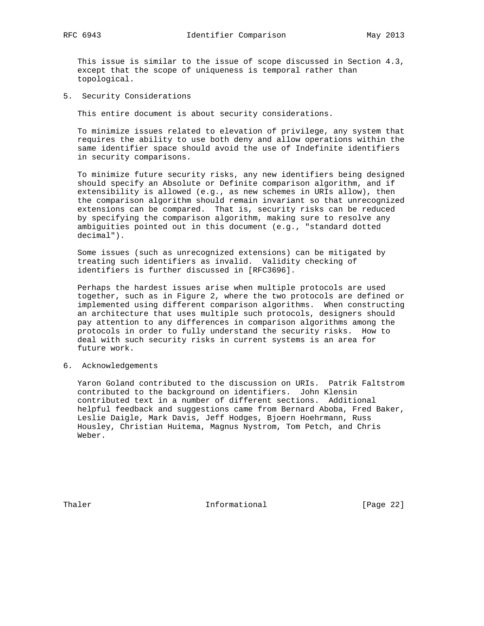This issue is similar to the issue of scope discussed in Section 4.3, except that the scope of uniqueness is temporal rather than topological.

5. Security Considerations

This entire document is about security considerations.

 To minimize issues related to elevation of privilege, any system that requires the ability to use both deny and allow operations within the same identifier space should avoid the use of Indefinite identifiers in security comparisons.

 To minimize future security risks, any new identifiers being designed should specify an Absolute or Definite comparison algorithm, and if extensibility is allowed (e.g., as new schemes in URIs allow), then the comparison algorithm should remain invariant so that unrecognized extensions can be compared. That is, security risks can be reduced by specifying the comparison algorithm, making sure to resolve any ambiguities pointed out in this document (e.g., "standard dotted decimal").

 Some issues (such as unrecognized extensions) can be mitigated by treating such identifiers as invalid. Validity checking of identifiers is further discussed in [RFC3696].

 Perhaps the hardest issues arise when multiple protocols are used together, such as in Figure 2, where the two protocols are defined or implemented using different comparison algorithms. When constructing an architecture that uses multiple such protocols, designers should pay attention to any differences in comparison algorithms among the protocols in order to fully understand the security risks. How to deal with such security risks in current systems is an area for future work.

6. Acknowledgements

 Yaron Goland contributed to the discussion on URIs. Patrik Faltstrom contributed to the background on identifiers. John Klensin contributed text in a number of different sections. Additional helpful feedback and suggestions came from Bernard Aboba, Fred Baker, Leslie Daigle, Mark Davis, Jeff Hodges, Bjoern Hoehrmann, Russ Housley, Christian Huitema, Magnus Nystrom, Tom Petch, and Chris Weber.

Thaler **Informational Informational** [Page 22]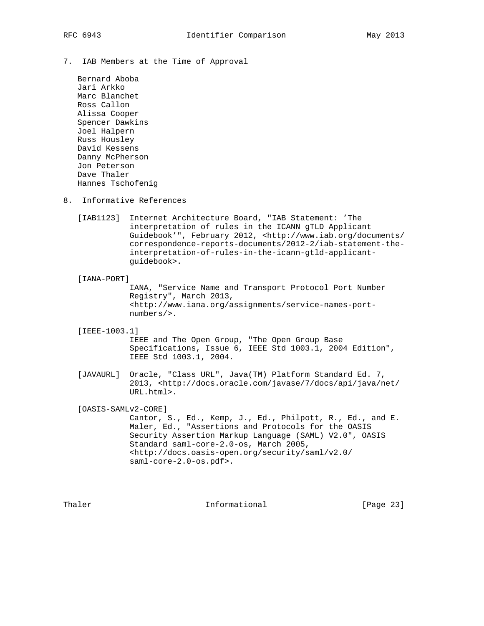- 
- 7. IAB Members at the Time of Approval

 Bernard Aboba Jari Arkko Marc Blanchet Ross Callon Alissa Cooper Spencer Dawkins Joel Halpern Russ Housley David Kessens Danny McPherson Jon Peterson Dave Thaler Hannes Tschofenig

- 8. Informative References
	- [IAB1123] Internet Architecture Board, "IAB Statement: 'The interpretation of rules in the ICANN gTLD Applicant Guidebook'", February 2012, <http://www.iab.org/documents/ correspondence-reports-documents/2012-2/iab-statement-the interpretation-of-rules-in-the-icann-gtld-applicant guidebook>.

#### [IANA-PORT]

 IANA, "Service Name and Transport Protocol Port Number Registry", March 2013, <http://www.iana.org/assignments/service-names-port numbers/>.

[IEEE-1003.1]

 IEEE and The Open Group, "The Open Group Base Specifications, Issue 6, IEEE Std 1003.1, 2004 Edition", IEEE Std 1003.1, 2004.

 [JAVAURL] Oracle, "Class URL", Java(TM) Platform Standard Ed. 7, 2013, <http://docs.oracle.com/javase/7/docs/api/java/net/ URL.html>.

[OASIS-SAMLv2-CORE]

 Cantor, S., Ed., Kemp, J., Ed., Philpott, R., Ed., and E. Maler, Ed., "Assertions and Protocols for the OASIS Security Assertion Markup Language (SAML) V2.0", OASIS Standard saml-core-2.0-os, March 2005, <http://docs.oasis-open.org/security/saml/v2.0/ saml-core-2.0-os.pdf>.

Thaler **Informational Informational** [Page 23]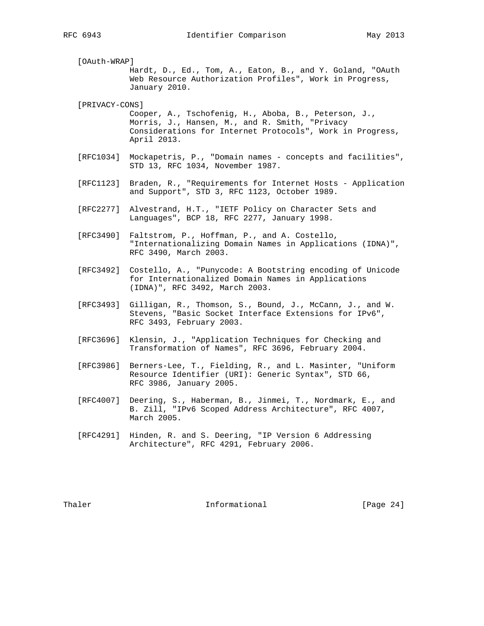[OAuth-WRAP] Hardt, D., Ed., Tom, A., Eaton, B., and Y. Goland, "OAuth Web Resource Authorization Profiles", Work in Progress, January 2010.

[PRIVACY-CONS]

 Cooper, A., Tschofenig, H., Aboba, B., Peterson, J., Morris, J., Hansen, M., and R. Smith, "Privacy Considerations for Internet Protocols", Work in Progress, April 2013.

- [RFC1034] Mockapetris, P., "Domain names concepts and facilities", STD 13, RFC 1034, November 1987.
- [RFC1123] Braden, R., "Requirements for Internet Hosts Application and Support", STD 3, RFC 1123, October 1989.
- [RFC2277] Alvestrand, H.T., "IETF Policy on Character Sets and Languages", BCP 18, RFC 2277, January 1998.
- [RFC3490] Faltstrom, P., Hoffman, P., and A. Costello, "Internationalizing Domain Names in Applications (IDNA)", RFC 3490, March 2003.
- [RFC3492] Costello, A., "Punycode: A Bootstring encoding of Unicode for Internationalized Domain Names in Applications (IDNA)", RFC 3492, March 2003.
- [RFC3493] Gilligan, R., Thomson, S., Bound, J., McCann, J., and W. Stevens, "Basic Socket Interface Extensions for IPv6", RFC 3493, February 2003.
- [RFC3696] Klensin, J., "Application Techniques for Checking and Transformation of Names", RFC 3696, February 2004.
- [RFC3986] Berners-Lee, T., Fielding, R., and L. Masinter, "Uniform Resource Identifier (URI): Generic Syntax", STD 66, RFC 3986, January 2005.
- [RFC4007] Deering, S., Haberman, B., Jinmei, T., Nordmark, E., and B. Zill, "IPv6 Scoped Address Architecture", RFC 4007, March 2005.
- [RFC4291] Hinden, R. and S. Deering, "IP Version 6 Addressing Architecture", RFC 4291, February 2006.

Thaler **Informational Informational** [Page 24]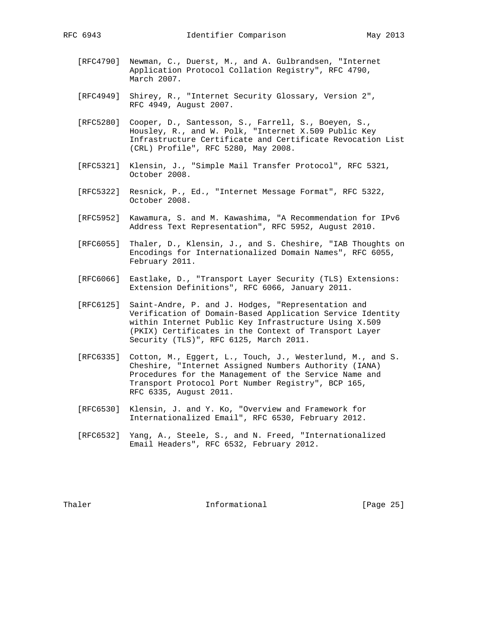- [RFC4790] Newman, C., Duerst, M., and A. Gulbrandsen, "Internet Application Protocol Collation Registry", RFC 4790, March 2007.
- [RFC4949] Shirey, R., "Internet Security Glossary, Version 2", RFC 4949, August 2007.
- [RFC5280] Cooper, D., Santesson, S., Farrell, S., Boeyen, S., Housley, R., and W. Polk, "Internet X.509 Public Key Infrastructure Certificate and Certificate Revocation List (CRL) Profile", RFC 5280, May 2008.
- [RFC5321] Klensin, J., "Simple Mail Transfer Protocol", RFC 5321, October 2008.
- [RFC5322] Resnick, P., Ed., "Internet Message Format", RFC 5322, October 2008.
- [RFC5952] Kawamura, S. and M. Kawashima, "A Recommendation for IPv6 Address Text Representation", RFC 5952, August 2010.
- [RFC6055] Thaler, D., Klensin, J., and S. Cheshire, "IAB Thoughts on Encodings for Internationalized Domain Names", RFC 6055, February 2011.
- [RFC6066] Eastlake, D., "Transport Layer Security (TLS) Extensions: Extension Definitions", RFC 6066, January 2011.
- [RFC6125] Saint-Andre, P. and J. Hodges, "Representation and Verification of Domain-Based Application Service Identity within Internet Public Key Infrastructure Using X.509 (PKIX) Certificates in the Context of Transport Layer Security (TLS)", RFC 6125, March 2011.
- [RFC6335] Cotton, M., Eggert, L., Touch, J., Westerlund, M., and S. Cheshire, "Internet Assigned Numbers Authority (IANA) Procedures for the Management of the Service Name and Transport Protocol Port Number Registry", BCP 165, RFC 6335, August 2011.
- [RFC6530] Klensin, J. and Y. Ko, "Overview and Framework for Internationalized Email", RFC 6530, February 2012.
- [RFC6532] Yang, A., Steele, S., and N. Freed, "Internationalized Email Headers", RFC 6532, February 2012.

Thaler **Informational Informational** [Page 25]